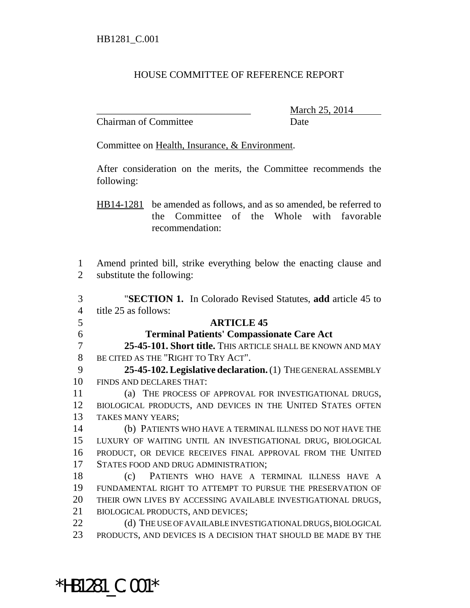## HOUSE COMMITTEE OF REFERENCE REPORT

Chairman of Committee Date

\_\_\_\_\_\_\_\_\_\_\_\_\_\_\_\_\_\_\_\_\_\_\_\_\_\_\_\_\_\_\_ March 25, 2014

Committee on Health, Insurance, & Environment.

After consideration on the merits, the Committee recommends the following:

HB14-1281 be amended as follows, and as so amended, be referred to the Committee of the Whole with favorable recommendation:

 Amend printed bill, strike everything below the enacting clause and substitute the following:

 "**SECTION 1.** In Colorado Revised Statutes, **add** article 45 to title 25 as follows: **ARTICLE 45 Terminal Patients' Compassionate Care Act 25-45-101. Short title.** THIS ARTICLE SHALL BE KNOWN AND MAY BE CITED AS THE "RIGHT TO TRY ACT". **25-45-102. Legislative declaration.** (1) THE GENERAL ASSEMBLY FINDS AND DECLARES THAT: (a) THE PROCESS OF APPROVAL FOR INVESTIGATIONAL DRUGS, BIOLOGICAL PRODUCTS, AND DEVICES IN THE UNITED STATES OFTEN TAKES MANY YEARS; (b) PATIENTS WHO HAVE A TERMINAL ILLNESS DO NOT HAVE THE LUXURY OF WAITING UNTIL AN INVESTIGATIONAL DRUG, BIOLOGICAL PRODUCT, OR DEVICE RECEIVES FINAL APPROVAL FROM THE UNITED STATES FOOD AND DRUG ADMINISTRATION; (c) PATIENTS WHO HAVE A TERMINAL ILLNESS HAVE A FUNDAMENTAL RIGHT TO ATTEMPT TO PURSUE THE PRESERVATION OF THEIR OWN LIVES BY ACCESSING AVAILABLE INVESTIGATIONAL DRUGS, BIOLOGICAL PRODUCTS, AND DEVICES; 22 (d) THE USE OF AVAILABLE INVESTIGATIONAL DRUGS, BIOLOGICAL PRODUCTS, AND DEVICES IS A DECISION THAT SHOULD BE MADE BY THE

\*HB1281\_C.001\*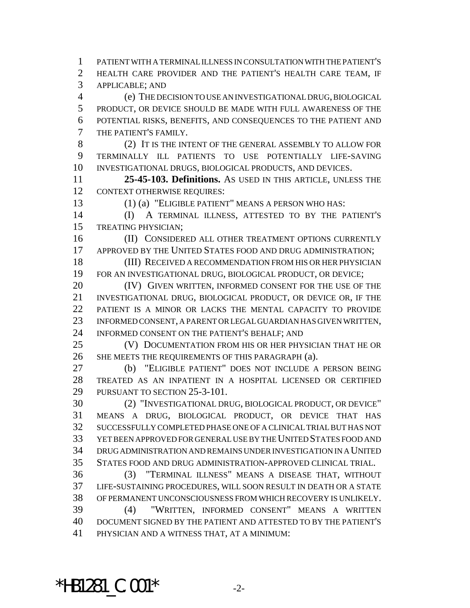PATIENT WITH A TERMINAL ILLNESS IN CONSULTATION WITH THE PATIENT'S HEALTH CARE PROVIDER AND THE PATIENT'S HEALTH CARE TEAM, IF APPLICABLE; AND (e) THE DECISION TO USE AN INVESTIGATIONAL DRUG, BIOLOGICAL PRODUCT, OR DEVICE SHOULD BE MADE WITH FULL AWARENESS OF THE POTENTIAL RISKS, BENEFITS, AND CONSEQUENCES TO THE PATIENT AND THE PATIENT'S FAMILY. (2) IT IS THE INTENT OF THE GENERAL ASSEMBLY TO ALLOW FOR TERMINALLY ILL PATIENTS TO USE POTENTIALLY LIFE-SAVING INVESTIGATIONAL DRUGS, BIOLOGICAL PRODUCTS, AND DEVICES. **25-45-103. Definitions.** AS USED IN THIS ARTICLE, UNLESS THE CONTEXT OTHERWISE REQUIRES: (1) (a) "ELIGIBLE PATIENT" MEANS A PERSON WHO HAS: (I) A TERMINAL ILLNESS, ATTESTED TO BY THE PATIENT'S TREATING PHYSICIAN; **(II) CONSIDERED ALL OTHER TREATMENT OPTIONS CURRENTLY** 17 APPROVED BY THE UNITED STATES FOOD AND DRUG ADMINISTRATION; (III) RECEIVED A RECOMMENDATION FROM HIS OR HER PHYSICIAN FOR AN INVESTIGATIONAL DRUG, BIOLOGICAL PRODUCT, OR DEVICE; 20 (IV) GIVEN WRITTEN, INFORMED CONSENT FOR THE USE OF THE INVESTIGATIONAL DRUG, BIOLOGICAL PRODUCT, OR DEVICE OR, IF THE PATIENT IS A MINOR OR LACKS THE MENTAL CAPACITY TO PROVIDE INFORMED CONSENT, A PARENT OR LEGAL GUARDIAN HAS GIVEN WRITTEN, INFORMED CONSENT ON THE PATIENT'S BEHALF; AND (V) DOCUMENTATION FROM HIS OR HER PHYSICIAN THAT HE OR 26 SHE MEETS THE REQUIREMENTS OF THIS PARAGRAPH (a). (b) "ELIGIBLE PATIENT" DOES NOT INCLUDE A PERSON BEING TREATED AS AN INPATIENT IN A HOSPITAL LICENSED OR CERTIFIED PURSUANT TO SECTION 25-3-101. (2) "INVESTIGATIONAL DRUG, BIOLOGICAL PRODUCT, OR DEVICE" MEANS A DRUG, BIOLOGICAL PRODUCT, OR DEVICE THAT HAS SUCCESSFULLY COMPLETED PHASE ONE OF A CLINICAL TRIAL BUT HAS NOT YET BEEN APPROVED FOR GENERAL USE BY THE UNITED STATES FOOD AND DRUG ADMINISTRATION AND REMAINS UNDER INVESTIGATION IN A UNITED STATES FOOD AND DRUG ADMINISTRATION-APPROVED CLINICAL TRIAL. (3) "TERMINAL ILLNESS" MEANS A DISEASE THAT, WITHOUT LIFE-SUSTAINING PROCEDURES, WILL SOON RESULT IN DEATH OR A STATE OF PERMANENT UNCONSCIOUSNESS FROM WHICH RECOVERY IS UNLIKELY. (4) "WRITTEN, INFORMED CONSENT" MEANS A WRITTEN DOCUMENT SIGNED BY THE PATIENT AND ATTESTED TO BY THE PATIENT'S PHYSICIAN AND A WITNESS THAT, AT A MINIMUM:

\*HB1281  $C.001*$   $2-$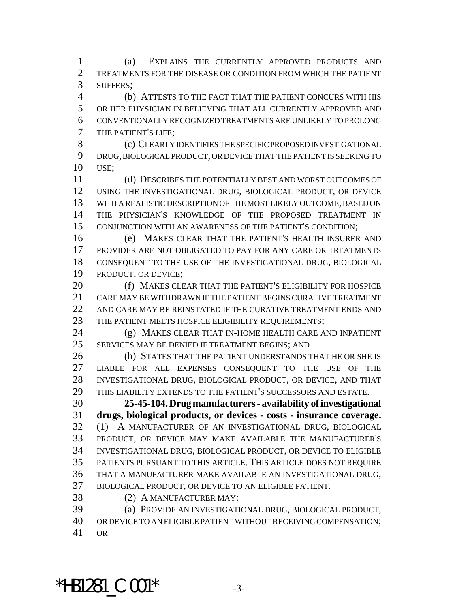(a) EXPLAINS THE CURRENTLY APPROVED PRODUCTS AND TREATMENTS FOR THE DISEASE OR CONDITION FROM WHICH THE PATIENT SUFFERS;

 (b) ATTESTS TO THE FACT THAT THE PATIENT CONCURS WITH HIS OR HER PHYSICIAN IN BELIEVING THAT ALL CURRENTLY APPROVED AND CONVENTIONALLY RECOGNIZED TREATMENTS ARE UNLIKELY TO PROLONG THE PATIENT'S LIFE;

 (c) CLEARLY IDENTIFIES THE SPECIFIC PROPOSED INVESTIGATIONAL DRUG, BIOLOGICAL PRODUCT, OR DEVICE THAT THE PATIENT IS SEEKING TO USE;

 (d) DESCRIBES THE POTENTIALLY BEST AND WORST OUTCOMES OF USING THE INVESTIGATIONAL DRUG, BIOLOGICAL PRODUCT, OR DEVICE WITH A REALISTIC DESCRIPTION OF THE MOST LIKELY OUTCOME, BASED ON THE PHYSICIAN'S KNOWLEDGE OF THE PROPOSED TREATMENT IN CONJUNCTION WITH AN AWARENESS OF THE PATIENT'S CONDITION;

 (e) MAKES CLEAR THAT THE PATIENT'S HEALTH INSURER AND PROVIDER ARE NOT OBLIGATED TO PAY FOR ANY CARE OR TREATMENTS CONSEQUENT TO THE USE OF THE INVESTIGATIONAL DRUG, BIOLOGICAL PRODUCT, OR DEVICE;

 (f) MAKES CLEAR THAT THE PATIENT'S ELIGIBILITY FOR HOSPICE CARE MAY BE WITHDRAWN IF THE PATIENT BEGINS CURATIVE TREATMENT AND CARE MAY BE REINSTATED IF THE CURATIVE TREATMENT ENDS AND 23 THE PATIENT MEETS HOSPICE ELIGIBILITY REQUIREMENTS;

 (g) MAKES CLEAR THAT IN-HOME HEALTH CARE AND INPATIENT SERVICES MAY BE DENIED IF TREATMENT BEGINS; AND

 (h) STATES THAT THE PATIENT UNDERSTANDS THAT HE OR SHE IS LIABLE FOR ALL EXPENSES CONSEQUENT TO THE USE OF THE INVESTIGATIONAL DRUG, BIOLOGICAL PRODUCT, OR DEVICE, AND THAT THIS LIABILITY EXTENDS TO THE PATIENT'S SUCCESSORS AND ESTATE.

 **25-45-104. Drug manufacturers - availability of investigational drugs, biological products, or devices - costs - insurance coverage.** (1) A MANUFACTURER OF AN INVESTIGATIONAL DRUG, BIOLOGICAL PRODUCT, OR DEVICE MAY MAKE AVAILABLE THE MANUFACTURER'S INVESTIGATIONAL DRUG, BIOLOGICAL PRODUCT, OR DEVICE TO ELIGIBLE PATIENTS PURSUANT TO THIS ARTICLE. THIS ARTICLE DOES NOT REQUIRE THAT A MANUFACTURER MAKE AVAILABLE AN INVESTIGATIONAL DRUG, BIOLOGICAL PRODUCT, OR DEVICE TO AN ELIGIBLE PATIENT.

(2) A MANUFACTURER MAY:

 (a) PROVIDE AN INVESTIGATIONAL DRUG, BIOLOGICAL PRODUCT, OR DEVICE TO AN ELIGIBLE PATIENT WITHOUT RECEIVING COMPENSATION;

OR

\*HB1281  $C.001*$  -3-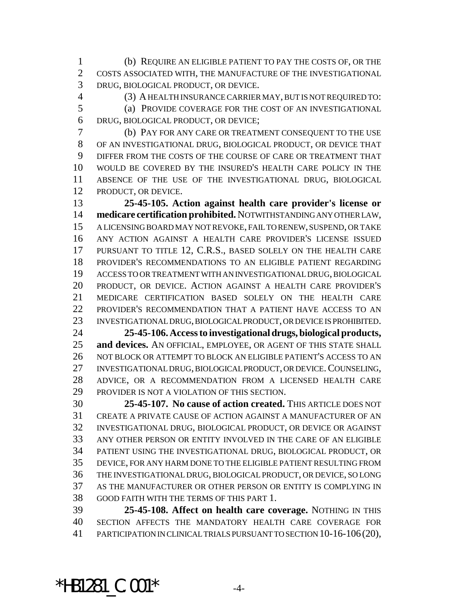(b) REQUIRE AN ELIGIBLE PATIENT TO PAY THE COSTS OF, OR THE COSTS ASSOCIATED WITH, THE MANUFACTURE OF THE INVESTIGATIONAL DRUG, BIOLOGICAL PRODUCT, OR DEVICE.

 (3) A HEALTH INSURANCE CARRIER MAY, BUT IS NOT REQUIRED TO: (a) PROVIDE COVERAGE FOR THE COST OF AN INVESTIGATIONAL DRUG, BIOLOGICAL PRODUCT, OR DEVICE;

 (b) PAY FOR ANY CARE OR TREATMENT CONSEQUENT TO THE USE OF AN INVESTIGATIONAL DRUG, BIOLOGICAL PRODUCT, OR DEVICE THAT DIFFER FROM THE COSTS OF THE COURSE OF CARE OR TREATMENT THAT WOULD BE COVERED BY THE INSURED'S HEALTH CARE POLICY IN THE ABSENCE OF THE USE OF THE INVESTIGATIONAL DRUG, BIOLOGICAL PRODUCT, OR DEVICE.

 **25-45-105. Action against health care provider's license or medicare certification prohibited.** NOTWITHSTANDING ANY OTHER LAW, A LICENSING BOARD MAY NOT REVOKE, FAIL TO RENEW, SUSPEND, OR TAKE ANY ACTION AGAINST A HEALTH CARE PROVIDER'S LICENSE ISSUED PURSUANT TO TITLE 12, C.R.S., BASED SOLELY ON THE HEALTH CARE PROVIDER'S RECOMMENDATIONS TO AN ELIGIBLE PATIENT REGARDING ACCESS TO OR TREATMENT WITH AN INVESTIGATIONAL DRUG, BIOLOGICAL PRODUCT, OR DEVICE. ACTION AGAINST A HEALTH CARE PROVIDER'S MEDICARE CERTIFICATION BASED SOLELY ON THE HEALTH CARE PROVIDER'S RECOMMENDATION THAT A PATIENT HAVE ACCESS TO AN INVESTIGATIONAL DRUG, BIOLOGICAL PRODUCT, OR DEVICE IS PROHIBITED.

 **25-45-106. Access to investigational drugs, biological products, and devices.** AN OFFICIAL, EMPLOYEE, OR AGENT OF THIS STATE SHALL NOT BLOCK OR ATTEMPT TO BLOCK AN ELIGIBLE PATIENT'S ACCESS TO AN INVESTIGATIONAL DRUG, BIOLOGICAL PRODUCT, OR DEVICE. COUNSELING, ADVICE, OR A RECOMMENDATION FROM A LICENSED HEALTH CARE PROVIDER IS NOT A VIOLATION OF THIS SECTION.

 **25-45-107. No cause of action created.** THIS ARTICLE DOES NOT CREATE A PRIVATE CAUSE OF ACTION AGAINST A MANUFACTURER OF AN INVESTIGATIONAL DRUG, BIOLOGICAL PRODUCT, OR DEVICE OR AGAINST ANY OTHER PERSON OR ENTITY INVOLVED IN THE CARE OF AN ELIGIBLE PATIENT USING THE INVESTIGATIONAL DRUG, BIOLOGICAL PRODUCT, OR DEVICE, FOR ANY HARM DONE TO THE ELIGIBLE PATIENT RESULTING FROM THE INVESTIGATIONAL DRUG, BIOLOGICAL PRODUCT, OR DEVICE, SO LONG AS THE MANUFACTURER OR OTHER PERSON OR ENTITY IS COMPLYING IN GOOD FAITH WITH THE TERMS OF THIS PART 1.

 **25-45-108. Affect on health care coverage.** NOTHING IN THIS SECTION AFFECTS THE MANDATORY HEALTH CARE COVERAGE FOR PARTICIPATION IN CLINICAL TRIALS PURSUANT TO SECTION 10-16-106(20),

 $*$ HB1281 C.001 $*$  -4-